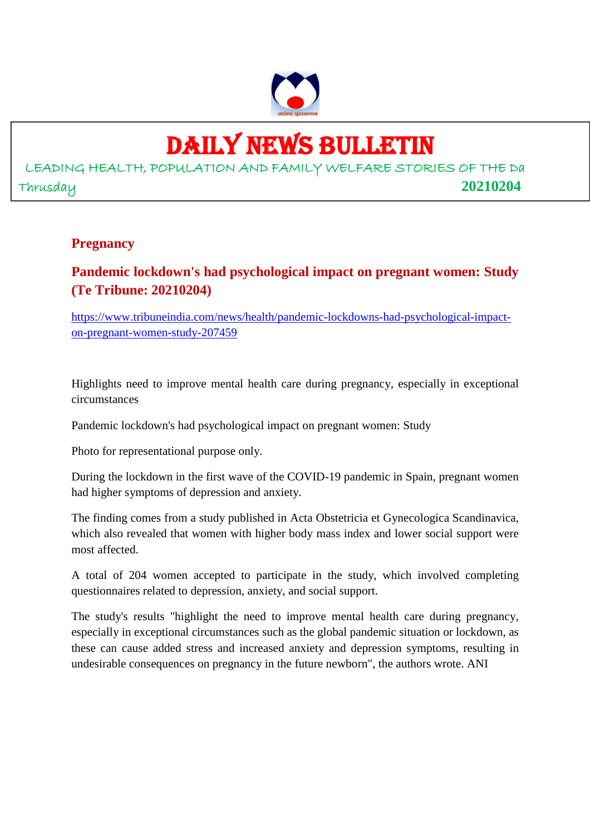

## DAILY NEWS BULLETIN

LEADING HEALTH, POPULATION AND FAMILY WELFARE STORIES OF THE Da Thrusday **20210204**

#### **Pregnancy**

## **Pandemic lockdown's had psychological impact on pregnant women: Study (Te Tribune: 20210204)**

https://www.tribuneindia.com/news/health/pandemic-lockdowns-had-psychological-impacton-pregnant-women-study-207459

Highlights need to improve mental health care during pregnancy, especially in exceptional circumstances

Pandemic lockdown's had psychological impact on pregnant women: Study

Photo for representational purpose only.

During the lockdown in the first wave of the COVID-19 pandemic in Spain, pregnant women had higher symptoms of depression and anxiety.

The finding comes from a study published in Acta Obstetricia et Gynecologica Scandinavica, which also revealed that women with higher body mass index and lower social support were most affected.

A total of 204 women accepted to participate in the study, which involved completing questionnaires related to depression, anxiety, and social support.

The study's results "highlight the need to improve mental health care during pregnancy, especially in exceptional circumstances such as the global pandemic situation or lockdown, as these can cause added stress and increased anxiety and depression symptoms, resulting in undesirable consequences on pregnancy in the future newborn", the authors wrote. ANI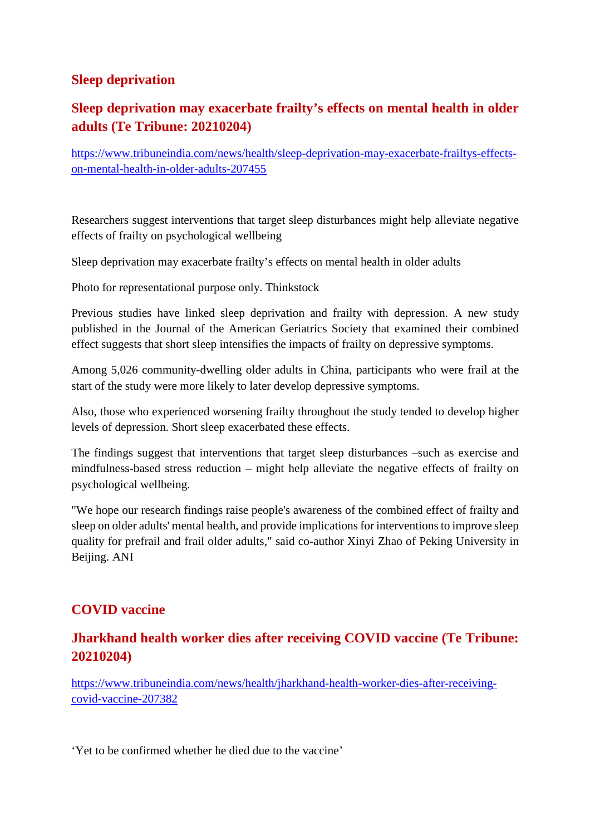#### **Sleep deprivation**

#### **Sleep deprivation may exacerbate frailty's effects on mental health in older adults (Te Tribune: 20210204)**

https://www.tribuneindia.com/news/health/sleep-deprivation-may-exacerbate-frailtys-effectson-mental-health-in-older-adults-207455

Researchers suggest interventions that target sleep disturbances might help alleviate negative effects of frailty on psychological wellbeing

Sleep deprivation may exacerbate frailty's effects on mental health in older adults

Photo for representational purpose only. Thinkstock

Previous studies have linked sleep deprivation and frailty with depression. A new study published in the Journal of the American Geriatrics Society that examined their combined effect suggests that short sleep intensifies the impacts of frailty on depressive symptoms.

Among 5,026 community-dwelling older adults in China, participants who were frail at the start of the study were more likely to later develop depressive symptoms.

Also, those who experienced worsening frailty throughout the study tended to develop higher levels of depression. Short sleep exacerbated these effects.

The findings suggest that interventions that target sleep disturbances –such as exercise and mindfulness-based stress reduction – might help alleviate the negative effects of frailty on psychological wellbeing.

"We hope our research findings raise people's awareness of the combined effect of frailty and sleep on older adults' mental health, and provide implications for interventions to improve sleep quality for prefrail and frail older adults," said co-author Xinyi Zhao of Peking University in Beijing. ANI

#### **COVID vaccine**

#### **Jharkhand health worker dies after receiving COVID vaccine (Te Tribune: 20210204)**

https://www.tribuneindia.com/news/health/jharkhand-health-worker-dies-after-receivingcovid-vaccine-207382

'Yet to be confirmed whether he died due to the vaccine'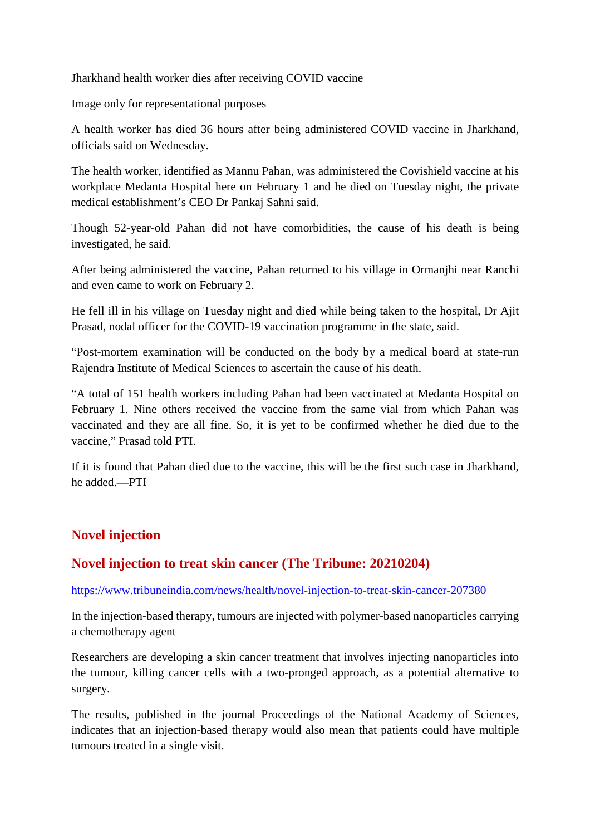Jharkhand health worker dies after receiving COVID vaccine

Image only for representational purposes

A health worker has died 36 hours after being administered COVID vaccine in Jharkhand, officials said on Wednesday.

The health worker, identified as Mannu Pahan, was administered the Covishield vaccine at his workplace Medanta Hospital here on February 1 and he died on Tuesday night, the private medical establishment's CEO Dr Pankaj Sahni said.

Though 52-year-old Pahan did not have comorbidities, the cause of his death is being investigated, he said.

After being administered the vaccine, Pahan returned to his village in Ormanjhi near Ranchi and even came to work on February 2.

He fell ill in his village on Tuesday night and died while being taken to the hospital, Dr Ajit Prasad, nodal officer for the COVID-19 vaccination programme in the state, said.

"Post-mortem examination will be conducted on the body by a medical board at state-run Rajendra Institute of Medical Sciences to ascertain the cause of his death.

"A total of 151 health workers including Pahan had been vaccinated at Medanta Hospital on February 1. Nine others received the vaccine from the same vial from which Pahan was vaccinated and they are all fine. So, it is yet to be confirmed whether he died due to the vaccine," Prasad told PTI.

If it is found that Pahan died due to the vaccine, this will be the first such case in Jharkhand, he added.—PTI

#### **Novel injection**

#### **Novel injection to treat skin cancer (The Tribune: 20210204)**

https://www.tribuneindia.com/news/health/novel-injection-to-treat-skin-cancer-207380

In the injection-based therapy, tumours are injected with polymer-based nanoparticles carrying a chemotherapy agent

Researchers are developing a skin cancer treatment that involves injecting nanoparticles into the tumour, killing cancer cells with a two-pronged approach, as a potential alternative to surgery.

The results, published in the journal Proceedings of the National Academy of Sciences, indicates that an injection-based therapy would also mean that patients could have multiple tumours treated in a single visit.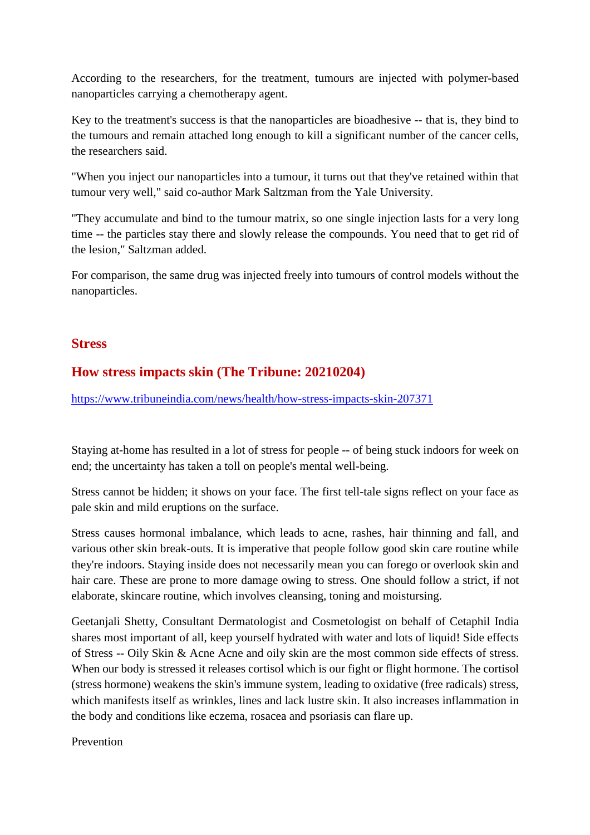According to the researchers, for the treatment, tumours are injected with polymer-based nanoparticles carrying a chemotherapy agent.

Key to the treatment's success is that the nanoparticles are bioadhesive -- that is, they bind to the tumours and remain attached long enough to kill a significant number of the cancer cells, the researchers said.

"When you inject our nanoparticles into a tumour, it turns out that they've retained within that tumour very well," said co-author Mark Saltzman from the Yale University.

"They accumulate and bind to the tumour matrix, so one single injection lasts for a very long time -- the particles stay there and slowly release the compounds. You need that to get rid of the lesion," Saltzman added.

For comparison, the same drug was injected freely into tumours of control models without the nanoparticles.

#### **Stress**

#### **How stress impacts skin (The Tribune: 20210204)**

https://www.tribuneindia.com/news/health/how-stress-impacts-skin-207371

Staying at-home has resulted in a lot of stress for people -- of being stuck indoors for week on end; the uncertainty has taken a toll on people's mental well-being.

Stress cannot be hidden; it shows on your face. The first tell-tale signs reflect on your face as pale skin and mild eruptions on the surface.

Stress causes hormonal imbalance, which leads to acne, rashes, hair thinning and fall, and various other skin break-outs. It is imperative that people follow good skin care routine while they're indoors. Staying inside does not necessarily mean you can forego or overlook skin and hair care. These are prone to more damage owing to stress. One should follow a strict, if not elaborate, skincare routine, which involves cleansing, toning and moistursing.

Geetanjali Shetty, Consultant Dermatologist and Cosmetologist on behalf of Cetaphil India shares most important of all, keep yourself hydrated with water and lots of liquid! Side effects of Stress -- Oily Skin & Acne Acne and oily skin are the most common side effects of stress. When our body is stressed it releases cortisol which is our fight or flight hormone. The cortisol (stress hormone) weakens the skin's immune system, leading to oxidative (free radicals) stress, which manifests itself as wrinkles, lines and lack lustre skin. It also increases inflammation in the body and conditions like eczema, rosacea and psoriasis can flare up.

Prevention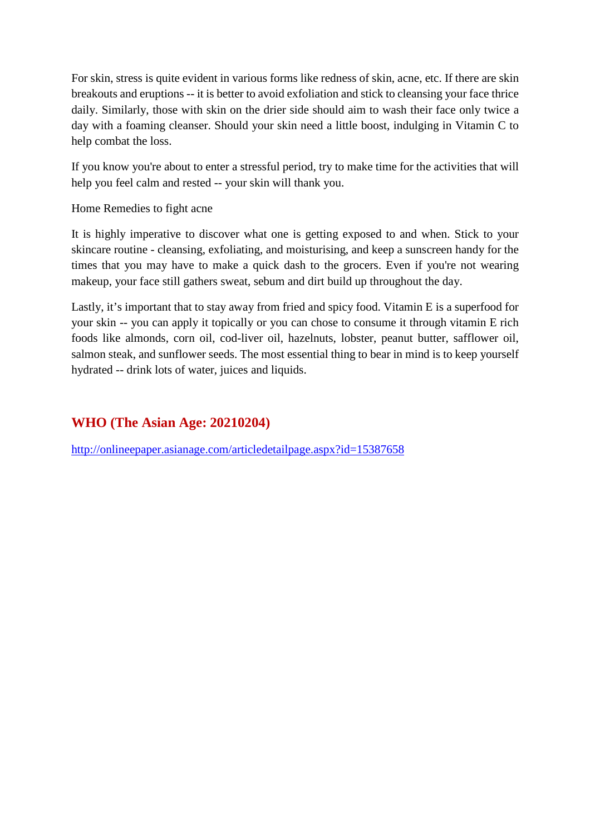For skin, stress is quite evident in various forms like redness of skin, acne, etc. If there are skin breakouts and eruptions -- it is better to avoid exfoliation and stick to cleansing your face thrice daily. Similarly, those with skin on the drier side should aim to wash their face only twice a day with a foaming cleanser. Should your skin need a little boost, indulging in Vitamin C to help combat the loss.

If you know you're about to enter a stressful period, try to make time for the activities that will help you feel calm and rested -- your skin will thank you.

Home Remedies to fight acne

It is highly imperative to discover what one is getting exposed to and when. Stick to your skincare routine - cleansing, exfoliating, and moisturising, and keep a sunscreen handy for the times that you may have to make a quick dash to the grocers. Even if you're not wearing makeup, your face still gathers sweat, sebum and dirt build up throughout the day.

Lastly, it's important that to stay away from fried and spicy food. Vitamin E is a superfood for your skin -- you can apply it topically or you can chose to consume it through vitamin E rich foods like almonds, corn oil, cod-liver oil, hazelnuts, lobster, peanut butter, safflower oil, salmon steak, and sunflower seeds. The most essential thing to bear in mind is to keep yourself hydrated -- drink lots of water, juices and liquids.

### **WHO (The Asian Age: 20210204)**

http://onlineepaper.asianage.com/articledetailpage.aspx?id=15387658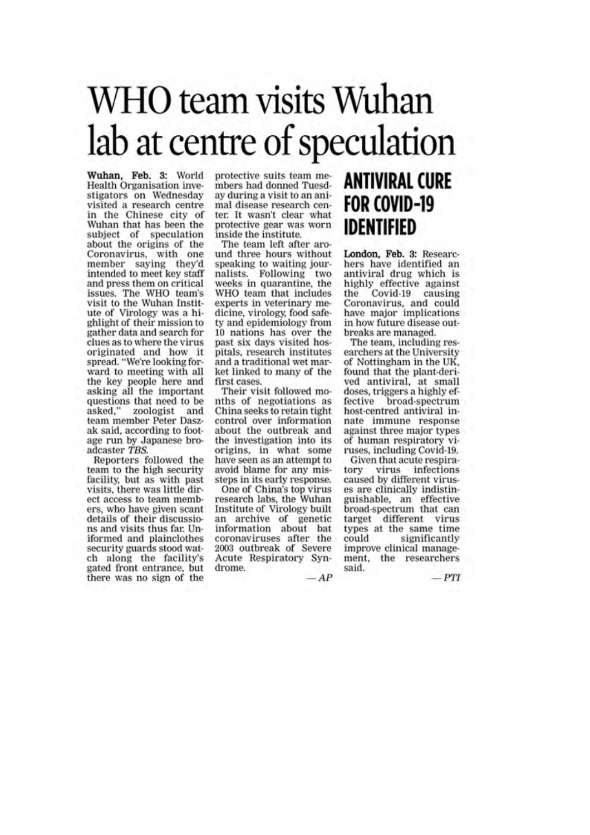# WHO team visits Wuhan lab at centre of speculation

Wuhan, Feb. 3: World Health Organisation investigators on Wednesday visited a research centre in the Chinese city of Wuhan that has been the subject of speculation about the origins of the Coronavirus, with one member saying they'd intended to meet key staff and press them on critical issues. The WHO team's visit to the Wuhan Institute of Virology was a highlight of their mission to gather data and search for clues as to where the virus originated and how it spread. "We're looking for-<br>ward to meeting with all the key people here and asking all the important questions that need to be<br>asked," zoologist and team member Peter Daszak said, according to footage run by Japanese broadcaster TBS.

Reporters followed the team to the high security facility, but as with past visits, there was little direct access to team members, who have given scant details of their discussions and visits thus far. Uniformed and plainclothes security guards stood watch along the facility's gated front entrance, but<br>there was no sign of the protective suits team members had donned Tuesday during a visit to an animal disease research center. It wasn't clear what protective gear was worn inside the institute.

The team left after around three hours without speaking to waiting journalists. Following two weeks in quarantine, the WHO team that includes experts in veterinary medicine, virology, food safety and epidemiology from 10 nations has over the past six days visited hospitals, research institutes and a traditional wet market linked to many of the first cases.

Their visit followed months of negotiations as China seeks to retain tight control over information about the outbreak and the investigation into its origins, in what some have seen as an attempt to avoid blame for any missteps in its early response.

One of China's top virus research labs, the Wuhan Institute of Virology built an archive of genetic<br>information about bat<br>coronaviruses after the 2003 outbreak of Severe Acute Respiratory Syndrome.

## **ANTIVIRAL CURE FOR COVID-19 IDENTIFIED**

London, Feb. 3: Researchers have identified an antiviral drug which is highly effective against<br>the Covid-19 causing Coronavirus, and could have major implications in how future disease outbreaks are managed.

The team, including researchers at the University of Nottingham in the UK. found that the plant-derived antiviral, at small doses, triggers a highly effective broad-spectrum host-centred antiviral innate immune response against three major types of human respiratory viruses, including Covid-19.

Given that acute respiratory virus infections caused by different viruses are clinically indistinguishable, an effective broad-spectrum that can target different virus types at the same time could significantly improve clinical management, the researchers said.

 $-PTI$ 

 $-AP$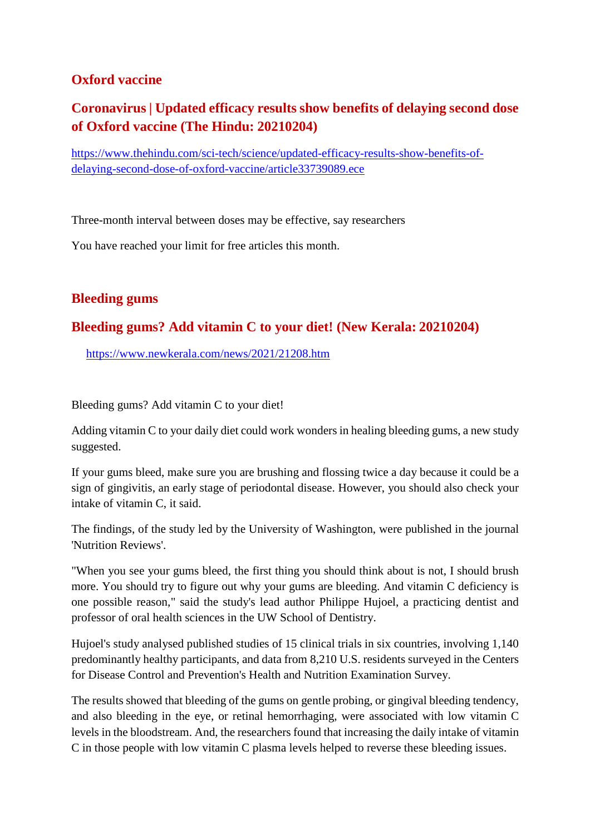#### **Oxford vaccine**

## **Coronavirus | Updated efficacy results show benefits of delaying second dose of Oxford vaccine (The Hindu: 20210204)**

https://www.thehindu.com/sci-tech/science/updated-efficacy-results-show-benefits-ofdelaying-second-dose-of-oxford-vaccine/article33739089.ece

Three-month interval between doses may be effective, say researchers

You have reached your limit for free articles this month.

#### **Bleeding gums**

#### **Bleeding gums? Add vitamin C to your diet! (New Kerala: 20210204)**

https://www.newkerala.com/news/2021/21208.htm

Bleeding gums? Add vitamin C to your diet!

Adding vitamin C to your daily diet could work wonders in healing bleeding gums, a new study suggested.

If your gums bleed, make sure you are brushing and flossing twice a day because it could be a sign of gingivitis, an early stage of periodontal disease. However, you should also check your intake of vitamin C, it said.

The findings, of the study led by the University of Washington, were published in the journal 'Nutrition Reviews'.

"When you see your gums bleed, the first thing you should think about is not, I should brush more. You should try to figure out why your gums are bleeding. And vitamin C deficiency is one possible reason," said the study's lead author Philippe Hujoel, a practicing dentist and professor of oral health sciences in the UW School of Dentistry.

Hujoel's study analysed published studies of 15 clinical trials in six countries, involving 1,140 predominantly healthy participants, and data from 8,210 U.S. residents surveyed in the Centers for Disease Control and Prevention's Health and Nutrition Examination Survey.

The results showed that bleeding of the gums on gentle probing, or gingival bleeding tendency, and also bleeding in the eye, or retinal hemorrhaging, were associated with low vitamin C levels in the bloodstream. And, the researchers found that increasing the daily intake of vitamin C in those people with low vitamin C plasma levels helped to reverse these bleeding issues.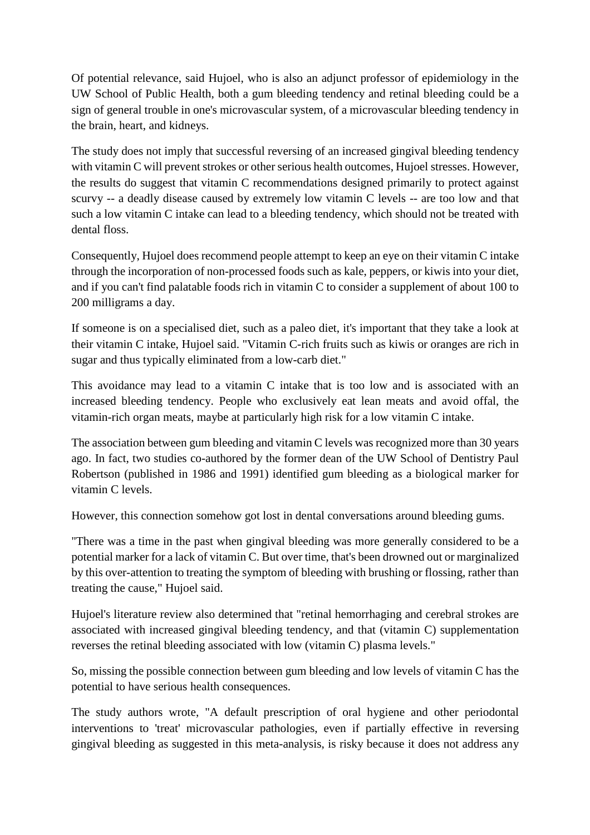Of potential relevance, said Hujoel, who is also an adjunct professor of epidemiology in the UW School of Public Health, both a gum bleeding tendency and retinal bleeding could be a sign of general trouble in one's microvascular system, of a microvascular bleeding tendency in the brain, heart, and kidneys.

The study does not imply that successful reversing of an increased gingival bleeding tendency with vitamin C will prevent strokes or other serious health outcomes, Hujoel stresses. However, the results do suggest that vitamin C recommendations designed primarily to protect against scurvy -- a deadly disease caused by extremely low vitamin C levels -- are too low and that such a low vitamin C intake can lead to a bleeding tendency, which should not be treated with dental floss.

Consequently, Hujoel does recommend people attempt to keep an eye on their vitamin C intake through the incorporation of non-processed foods such as kale, peppers, or kiwis into your diet, and if you can't find palatable foods rich in vitamin C to consider a supplement of about 100 to 200 milligrams a day.

If someone is on a specialised diet, such as a paleo diet, it's important that they take a look at their vitamin C intake, Hujoel said. "Vitamin C-rich fruits such as kiwis or oranges are rich in sugar and thus typically eliminated from a low-carb diet."

This avoidance may lead to a vitamin C intake that is too low and is associated with an increased bleeding tendency. People who exclusively eat lean meats and avoid offal, the vitamin-rich organ meats, maybe at particularly high risk for a low vitamin C intake.

The association between gum bleeding and vitamin C levels was recognized more than 30 years ago. In fact, two studies co-authored by the former dean of the UW School of Dentistry Paul Robertson (published in 1986 and 1991) identified gum bleeding as a biological marker for vitamin C levels.

However, this connection somehow got lost in dental conversations around bleeding gums.

"There was a time in the past when gingival bleeding was more generally considered to be a potential marker for a lack of vitamin C. But over time, that's been drowned out or marginalized by this over-attention to treating the symptom of bleeding with brushing or flossing, rather than treating the cause," Hujoel said.

Hujoel's literature review also determined that "retinal hemorrhaging and cerebral strokes are associated with increased gingival bleeding tendency, and that (vitamin C) supplementation reverses the retinal bleeding associated with low (vitamin C) plasma levels."

So, missing the possible connection between gum bleeding and low levels of vitamin C has the potential to have serious health consequences.

The study authors wrote, "A default prescription of oral hygiene and other periodontal interventions to 'treat' microvascular pathologies, even if partially effective in reversing gingival bleeding as suggested in this meta-analysis, is risky because it does not address any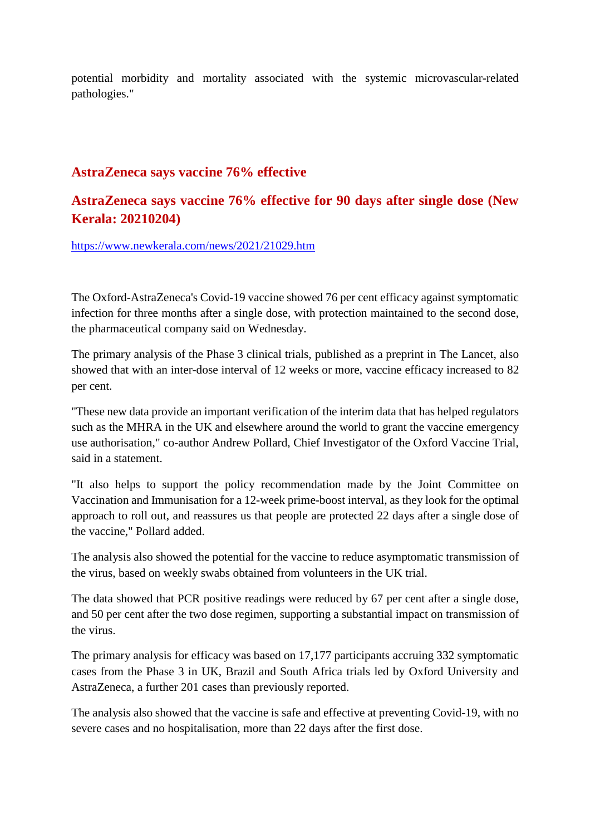potential morbidity and mortality associated with the systemic microvascular-related pathologies."

#### **AstraZeneca says vaccine 76% effective**

#### **AstraZeneca says vaccine 76% effective for 90 days after single dose (New Kerala: 20210204)**

https://www.newkerala.com/news/2021/21029.htm

The Oxford-AstraZeneca's Covid-19 vaccine showed 76 per cent efficacy against symptomatic infection for three months after a single dose, with protection maintained to the second dose, the pharmaceutical company said on Wednesday.

The primary analysis of the Phase 3 clinical trials, published as a preprint in The Lancet, also showed that with an inter-dose interval of 12 weeks or more, vaccine efficacy increased to 82 per cent.

"These new data provide an important verification of the interim data that has helped regulators such as the MHRA in the UK and elsewhere around the world to grant the vaccine emergency use authorisation," co-author Andrew Pollard, Chief Investigator of the Oxford Vaccine Trial, said in a statement.

"It also helps to support the policy recommendation made by the Joint Committee on Vaccination and Immunisation for a 12-week prime-boost interval, as they look for the optimal approach to roll out, and reassures us that people are protected 22 days after a single dose of the vaccine," Pollard added.

The analysis also showed the potential for the vaccine to reduce asymptomatic transmission of the virus, based on weekly swabs obtained from volunteers in the UK trial.

The data showed that PCR positive readings were reduced by 67 per cent after a single dose, and 50 per cent after the two dose regimen, supporting a substantial impact on transmission of the virus.

The primary analysis for efficacy was based on 17,177 participants accruing 332 symptomatic cases from the Phase 3 in UK, Brazil and South Africa trials led by Oxford University and AstraZeneca, a further 201 cases than previously reported.

The analysis also showed that the vaccine is safe and effective at preventing Covid-19, with no severe cases and no hospitalisation, more than 22 days after the first dose.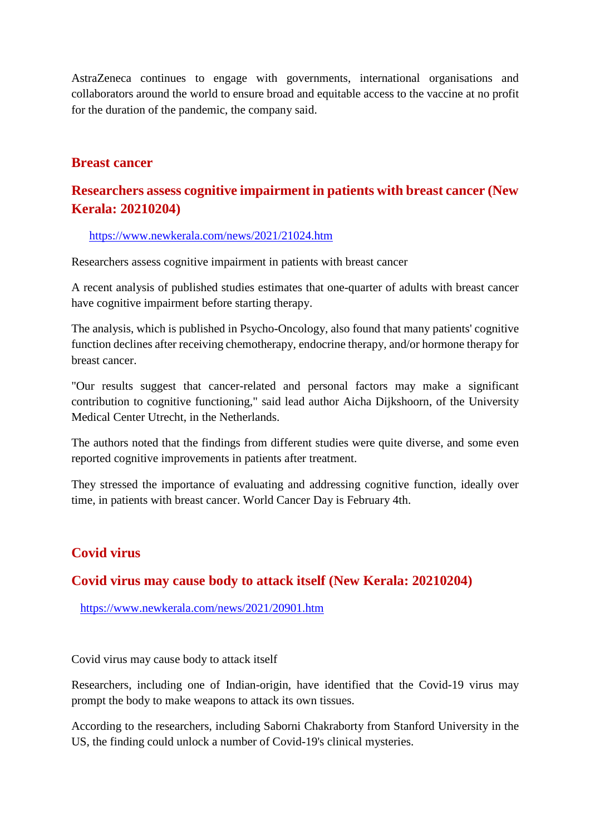AstraZeneca continues to engage with governments, international organisations and collaborators around the world to ensure broad and equitable access to the vaccine at no profit for the duration of the pandemic, the company said.

#### **Breast cancer**

#### **Researchers assess cognitive impairment in patients with breast cancer (New Kerala: 20210204)**

#### https://www.newkerala.com/news/2021/21024.htm

Researchers assess cognitive impairment in patients with breast cancer

A recent analysis of published studies estimates that one-quarter of adults with breast cancer have cognitive impairment before starting therapy.

The analysis, which is published in Psycho-Oncology, also found that many patients' cognitive function declines after receiving chemotherapy, endocrine therapy, and/or hormone therapy for breast cancer.

"Our results suggest that cancer-related and personal factors may make a significant contribution to cognitive functioning," said lead author Aicha Dijkshoorn, of the University Medical Center Utrecht, in the Netherlands.

The authors noted that the findings from different studies were quite diverse, and some even reported cognitive improvements in patients after treatment.

They stressed the importance of evaluating and addressing cognitive function, ideally over time, in patients with breast cancer. World Cancer Day is February 4th.

#### **Covid virus**

#### **Covid virus may cause body to attack itself (New Kerala: 20210204)**

https://www.newkerala.com/news/2021/20901.htm

Covid virus may cause body to attack itself

Researchers, including one of Indian-origin, have identified that the Covid-19 virus may prompt the body to make weapons to attack its own tissues.

According to the researchers, including Saborni Chakraborty from Stanford University in the US, the finding could unlock a number of Covid-19's clinical mysteries.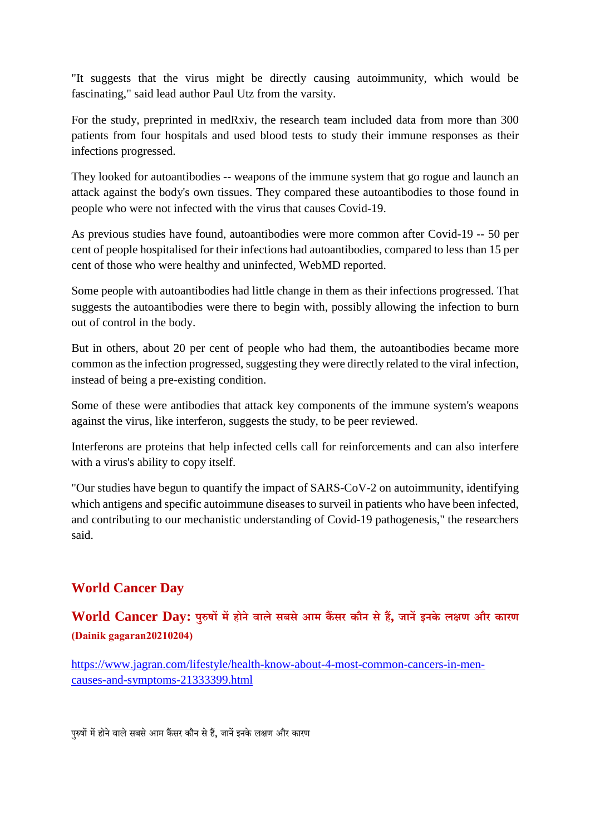"It suggests that the virus might be directly causing autoimmunity, which would be fascinating," said lead author Paul Utz from the varsity.

For the study, preprinted in medRxiv, the research team included data from more than 300 patients from four hospitals and used blood tests to study their immune responses as their infections progressed.

They looked for autoantibodies -- weapons of the immune system that go rogue and launch an attack against the body's own tissues. They compared these autoantibodies to those found in people who were not infected with the virus that causes Covid-19.

As previous studies have found, autoantibodies were more common after Covid-19 -- 50 per cent of people hospitalised for their infections had autoantibodies, compared to less than 15 per cent of those who were healthy and uninfected, WebMD reported.

Some people with autoantibodies had little change in them as their infections progressed. That suggests the autoantibodies were there to begin with, possibly allowing the infection to burn out of control in the body.

But in others, about 20 per cent of people who had them, the autoantibodies became more common as the infection progressed, suggesting they were directly related to the viral infection, instead of being a pre-existing condition.

Some of these were antibodies that attack key components of the immune system's weapons against the virus, like interferon, suggests the study, to be peer reviewed.

Interferons are proteins that help infected cells call for reinforcements and can also interfere with a virus's ability to copy itself.

"Our studies have begun to quantify the impact of SARS-CoV-2 on autoimmunity, identifying which antigens and specific autoimmune diseases to surveil in patients who have been infected, and contributing to our mechanistic understanding of Covid-19 pathogenesis," the researchers said.

#### **World Cancer Day**

#### **World Cancer Day: पुषमहोनेवालेसबसेआम कसर कौन सेह, जानइनके लण और कारण (Dainik gagaran20210204)**

https://www.jagran.com/lifestyle/health-know-about-4-most-common-cancers-in-mencauses-and-symptoms-21333399.html

पुरुषों में होने वाले सबसे आम कैंसर कौन से हैं, जानें इनके लक्षण और कारण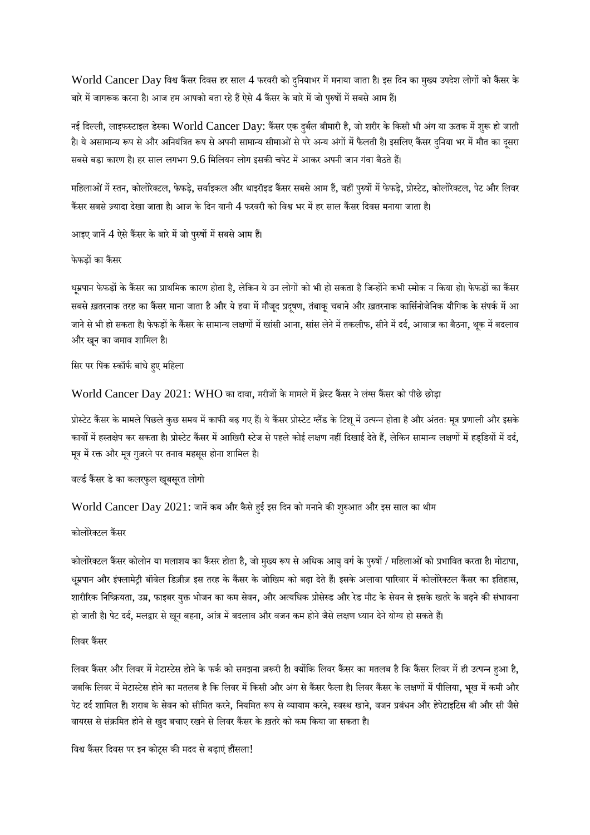World Cancer Day विश्व कैंसर दिवस हर साल 4 फरवरी को दुनियाभर में मनाया जाता है। इस दिन का मुख्य उपदेश लोगों को कैंसर के बारे में जागरूक करना है। आज हम आपको बता रहे हैं ऐसे 4 कैंसर के बारे में जो पुरुषों में सबसे आम हैं।

नई दिल्ली, लाइफस्टाइल डेस्क। World Cancer Day: कैंसर एक दुर्बल बीमारी है, जो शरीर के किसी भी अंग या ऊतक में शुरू हो जाती है। ये असामान्य रूप से और अनियंत्रित रूप से अपनी सामान्य सीमाओं से परे अन्य अंगों में फैलती है। इसलिए कैंसर दनिया भर में मौत का दसरा सबसे बड़ा कारण है। हर साल लगभग  $9.6$  मिलियन लोग इसकी चपेट में आकर अपनी जान गंवा बैठते हैं।

महिलाओं में स्तन, कोलोरेक्टल, फेफड़े, सर्वाइकल और थाइरॉइड कैंसर सबसे आम हैं, वहीं पुरुषों में फेफड़े, प्रोस्टेट, कोलोरेक्टल, पेट और लिवर कैंसर सबसे ज़्यादा देखा जाता है। आज के दिन यानी 4 फरवरी को विश्व भर में हर साल कैंसर दिवस मनाया जाता है।

आइए जानें 4 ऐसे कैंसर के बारे में जो पुरुषों में सबसे आम हैं।

#### फेफडों का कैंसर

धूम्रपान फेफड़ों के कैंसर का प्राथमिक कारण होता है, लेकिन ये उन लोगों को भी हो सकता है जिन्होंने कभी स्मोक न किया हो। फेफड़ों का कैंसर सबसे ख़तरनाक तरह का कैंसर माना जाता है और ये हवा में मौजूद प्रदूषण, तंबाकू चबाने और ख़तरनाक कार्सिनोजेनिक यौगिक के संपर्क में आ जाने से भी हो सकता है। फेफड़ों के कैंसर के सामान्य लक्षणों में खांसी आना, सांस लेने में तकलीफ, सीने में दर्द, आवाज़ का बैठना, थुक में बदलाव और खनू का जमाव शािमल ह।ै

सिर पर पिंक स्कॉर्फ बांधे हए महिला

World Cancer Day 2021: WHO का दावा, मरीजों के मामले में ब्रेस्ट कैंसर ने लंग्स कैंसर को पीछे छोड़ा

प्रोस्टेट कैंसर के मामले पिछले कुछ समय में काफी बढ़ गए हैं। ये कैंसर प्रोस्टेट ग्लैंड के टिशू में उत्पन्न होता है और अंततः मूत्र प्रणाली और इसके कार्यों में हस्तक्षेप कर सकता है। प्रोस्टेट कैंसर में आखिरी स्टेज से पहले कोई लक्षण नहीं दिखाई देते हैं, लेकिन सामान्य लक्षणों में हड्डियों में दर्द, मूत्र में रक्त और मूत्र गुज़रने पर तनाव महसूस होना शामिल है।

वर्ल्ड कैंसर डे का कलरफुल खूबसूरत लोगो

World Cancer Day 2021: जानें कब और कैसे हई इस दिन को मनाने की शुरुआत और इस साल का थीम

#### कोलोरेक्टल कैंसर

कोलोरेक्टल कैंसर कोलोन या मलाशय का कैंसर होता है, जो मुख्य रूप से अधिक आयु वर्ग के पुरुषों / महिलाओं को प्रभावित करता है। मोटापा, धूम्रपान और इंफ्लामेट्री बॉवेल डिज़ीज़ इस तरह के कैंसर के जोखिम को बढ़ा देते हैं। इसके अलावा पारिवार में कोलोरेक्टल कैंसर का इतिहास, शारीरिक निष्क्रियता, उम्र, फाइबर युक्त भोजन का कम सेवन, और अत्यधिक प्रोसेस्ड और रेड मीट के सेवन से इसके खतरे के बढ़ने की संभावना हो जाती है। पेट दर्द, मलद्वार से खून बहना, आंत्र में बदलाव और वजन कम होने जैसे लक्षण ध्यान देने योग्य हो सकते हैं।

#### लिवर कैंसर

लिवर कैंसर और लिवर में मेटास्टेस होने के फर्क को समझना ज़रूरी है। क्योंकि लिवर कैंसर का मतलब है कि कैंसर लिवर में ही उत्पन्न हुआ है, जबकि लिवर में मेटास्टेस होने का मतलब है कि लिवर में किसी और अंग से कैंसर फैला है। लिवर कैंसर के लक्षणों में पीलिया, भूख में कमी और पेट दर्द शामिल हैं। शराब के सेवन को सीमित करने, नियमित रूप से व्यायाम करने, स्वस्थ खाने, वजन प्रबंधन और हेपेटाइटिस बी और सी जैसे वायरस से संक्रमित होने से खुद बचाए रखने से लिवर कैंसर के ख़तरे को कम किया जा सकता है।

विश्व कैंसर दिवस पर इन कोट्स की मदद से बढ़ाएं हौंसला!